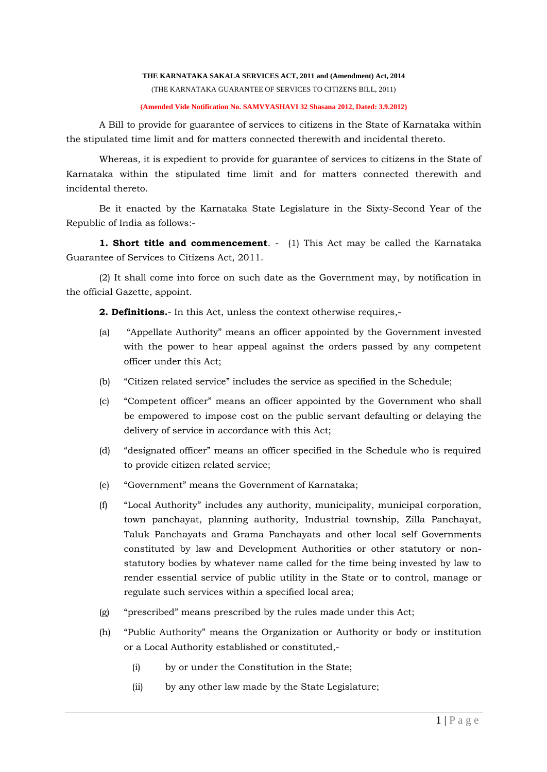#### **THE KARNATAKA SAKALA SERVICES ACT, 2011 and (Amendment) Act, 2014**

(THE KARNATAKA GUARANTEE OF SERVICES TO CITIZENS BILL, 2011)

### **(Amended Vide Notification No. SAMVYASHAVI 32 Shasana 2012, Dated: 3.9.2012)**

A Bill to provide for guarantee of services to citizens in the State of Karnataka within the stipulated time limit and for matters connected therewith and incidental thereto.

Whereas, it is expedient to provide for guarantee of services to citizens in the State of Karnataka within the stipulated time limit and for matters connected therewith and incidental thereto.

Be it enacted by the Karnataka State Legislature in the Sixty-Second Year of the Republic of India as follows:-

**1. Short title and commencement.** - (1) This Act may be called the Karnataka Guarantee of Services to Citizens Act, 2011.

(2) It shall come into force on such date as the Government may, by notification in the official Gazette, appoint.

**2. Definitions.**- In this Act, unless the context otherwise requires,-

- (a) "Appellate Authority" means an officer appointed by the Government invested with the power to hear appeal against the orders passed by any competent officer under this Act;
- (b) "Citizen related service" includes the service as specified in the Schedule;
- (c) "Competent officer" means an officer appointed by the Government who shall be empowered to impose cost on the public servant defaulting or delaying the delivery of service in accordance with this Act;
- (d) "designated officer" means an officer specified in the Schedule who is required to provide citizen related service;
- (e) "Government" means the Government of Karnataka;
- (f) "Local Authority" includes any authority, municipality, municipal corporation, town panchayat, planning authority, Industrial township, Zilla Panchayat, Taluk Panchayats and Grama Panchayats and other local self Governments constituted by law and Development Authorities or other statutory or nonstatutory bodies by whatever name called for the time being invested by law to render essential service of public utility in the State or to control, manage or regulate such services within a specified local area;
- (g) "prescribed" means prescribed by the rules made under this Act;
- (h) "Public Authority" means the Organization or Authority or body or institution or a Local Authority established or constituted,-
	- (i) by or under the Constitution in the State;
	- (ii) by any other law made by the State Legislature;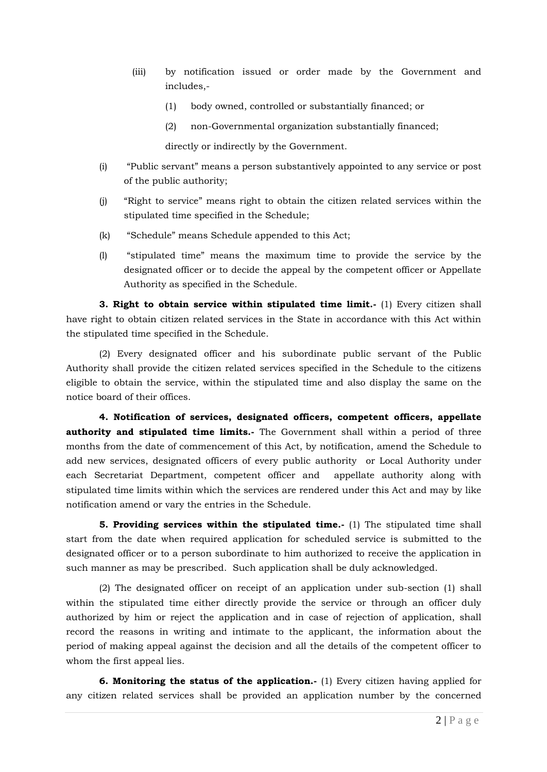- (iii) by notification issued or order made by the Government and includes,-
	- (1) body owned, controlled or substantially financed; or
	- (2) non-Governmental organization substantially financed;

directly or indirectly by the Government.

- (i) "Public servant" means a person substantively appointed to any service or post of the public authority;
- (j) "Right to service" means right to obtain the citizen related services within the stipulated time specified in the Schedule;
- (k) "Schedule" means Schedule appended to this Act;
- (l) "stipulated time" means the maximum time to provide the service by the designated officer or to decide the appeal by the competent officer or Appellate Authority as specified in the Schedule.

**3. Right to obtain service within stipulated time limit.-** (1) Every citizen shall have right to obtain citizen related services in the State in accordance with this Act within the stipulated time specified in the Schedule.

(2) Every designated officer and his subordinate public servant of the Public Authority shall provide the citizen related services specified in the Schedule to the citizens eligible to obtain the service, within the stipulated time and also display the same on the notice board of their offices.

**4. Notification of services, designated officers, competent officers, appellate authority and stipulated time limits.-** The Government shall within a period of three months from the date of commencement of this Act, by notification, amend the Schedule to add new services, designated officers of every public authority or Local Authority under each Secretariat Department, competent officer and appellate authority along with stipulated time limits within which the services are rendered under this Act and may by like notification amend or vary the entries in the Schedule.

**5. Providing services within the stipulated time.**- (1) The stipulated time shall start from the date when required application for scheduled service is submitted to the designated officer or to a person subordinate to him authorized to receive the application in such manner as may be prescribed. Such application shall be duly acknowledged.

(2) The designated officer on receipt of an application under sub-section (1) shall within the stipulated time either directly provide the service or through an officer duly authorized by him or reject the application and in case of rejection of application, shall record the reasons in writing and intimate to the applicant, the information about the period of making appeal against the decision and all the details of the competent officer to whom the first appeal lies.

**6. Monitoring the status of the application.-** (1) Every citizen having applied for any citizen related services shall be provided an application number by the concerned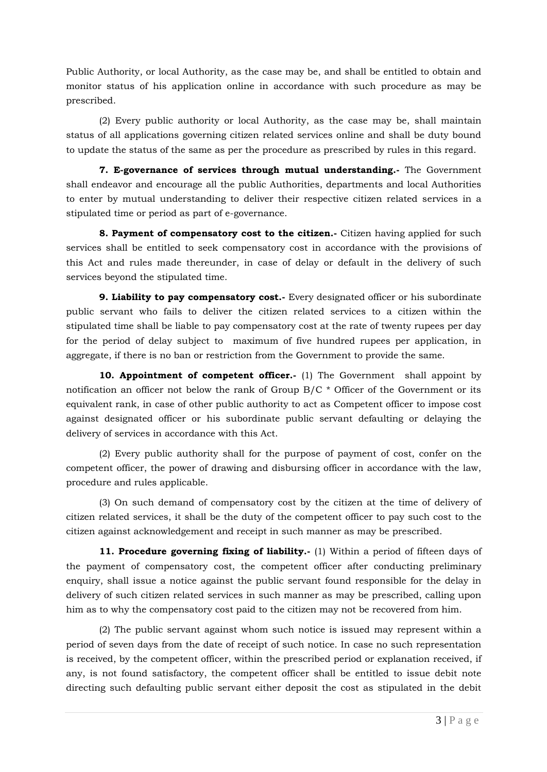Public Authority, or local Authority, as the case may be, and shall be entitled to obtain and monitor status of his application online in accordance with such procedure as may be prescribed.

(2) Every public authority or local Authority, as the case may be, shall maintain status of all applications governing citizen related services online and shall be duty bound to update the status of the same as per the procedure as prescribed by rules in this regard.

**7. E-governance of services through mutual understanding.-** The Government shall endeavor and encourage all the public Authorities, departments and local Authorities to enter by mutual understanding to deliver their respective citizen related services in a stipulated time or period as part of e-governance.

**8. Payment of compensatory cost to the citizen.**- Citizen having applied for such services shall be entitled to seek compensatory cost in accordance with the provisions of this Act and rules made thereunder, in case of delay or default in the delivery of such services beyond the stipulated time.

**9. Liability to pay compensatory cost.-** Every designated officer or his subordinate public servant who fails to deliver the citizen related services to a citizen within the stipulated time shall be liable to pay compensatory cost at the rate of twenty rupees per day for the period of delay subject to maximum of five hundred rupees per application, in aggregate, if there is no ban or restriction from the Government to provide the same.

**10. Appointment of competent officer.-** (1) The Government shall appoint by notification an officer not below the rank of Group B/C \* Officer of the Government or its equivalent rank, in case of other public authority to act as Competent officer to impose cost against designated officer or his subordinate public servant defaulting or delaying the delivery of services in accordance with this Act.

(2) Every public authority shall for the purpose of payment of cost, confer on the competent officer, the power of drawing and disbursing officer in accordance with the law, procedure and rules applicable.

(3) On such demand of compensatory cost by the citizen at the time of delivery of citizen related services, it shall be the duty of the competent officer to pay such cost to the citizen against acknowledgement and receipt in such manner as may be prescribed.

**11. Procedure governing fixing of liability.-** (1) Within a period of fifteen days of the payment of compensatory cost, the competent officer after conducting preliminary enquiry, shall issue a notice against the public servant found responsible for the delay in delivery of such citizen related services in such manner as may be prescribed, calling upon him as to why the compensatory cost paid to the citizen may not be recovered from him.

(2) The public servant against whom such notice is issued may represent within a period of seven days from the date of receipt of such notice. In case no such representation is received, by the competent officer, within the prescribed period or explanation received, if any, is not found satisfactory, the competent officer shall be entitled to issue debit note directing such defaulting public servant either deposit the cost as stipulated in the debit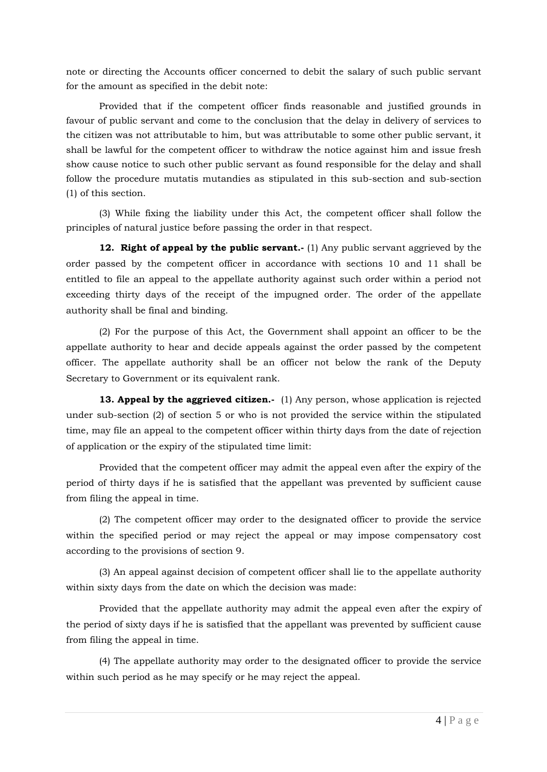note or directing the Accounts officer concerned to debit the salary of such public servant for the amount as specified in the debit note:

Provided that if the competent officer finds reasonable and justified grounds in favour of public servant and come to the conclusion that the delay in delivery of services to the citizen was not attributable to him, but was attributable to some other public servant, it shall be lawful for the competent officer to withdraw the notice against him and issue fresh show cause notice to such other public servant as found responsible for the delay and shall follow the procedure mutatis mutandies as stipulated in this sub-section and sub-section (1) of this section.

(3) While fixing the liability under this Act, the competent officer shall follow the principles of natural justice before passing the order in that respect.

**12. Right of appeal by the public servant.**- (1) Any public servant aggrieved by the order passed by the competent officer in accordance with sections 10 and 11 shall be entitled to file an appeal to the appellate authority against such order within a period not exceeding thirty days of the receipt of the impugned order. The order of the appellate authority shall be final and binding.

(2) For the purpose of this Act, the Government shall appoint an officer to be the appellate authority to hear and decide appeals against the order passed by the competent officer. The appellate authority shall be an officer not below the rank of the Deputy Secretary to Government or its equivalent rank.

**13. Appeal by the aggrieved citizen.-** (1) Any person, whose application is rejected under sub-section (2) of section 5 or who is not provided the service within the stipulated time, may file an appeal to the competent officer within thirty days from the date of rejection of application or the expiry of the stipulated time limit:

Provided that the competent officer may admit the appeal even after the expiry of the period of thirty days if he is satisfied that the appellant was prevented by sufficient cause from filing the appeal in time.

(2) The competent officer may order to the designated officer to provide the service within the specified period or may reject the appeal or may impose compensatory cost according to the provisions of section 9.

(3) An appeal against decision of competent officer shall lie to the appellate authority within sixty days from the date on which the decision was made:

Provided that the appellate authority may admit the appeal even after the expiry of the period of sixty days if he is satisfied that the appellant was prevented by sufficient cause from filing the appeal in time.

(4) The appellate authority may order to the designated officer to provide the service within such period as he may specify or he may reject the appeal.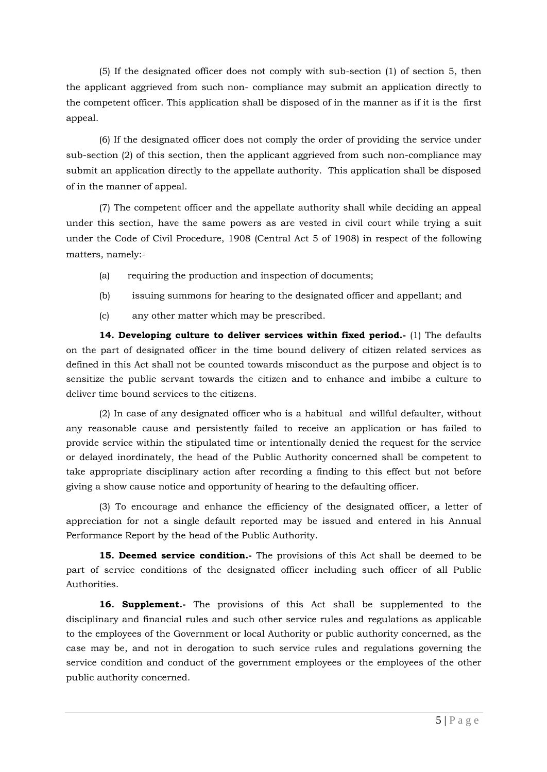(5) If the designated officer does not comply with sub-section (1) of section 5, then the applicant aggrieved from such non- compliance may submit an application directly to the competent officer. This application shall be disposed of in the manner as if it is the first appeal.

(6) If the designated officer does not comply the order of providing the service under sub-section (2) of this section, then the applicant aggrieved from such non-compliance may submit an application directly to the appellate authority. This application shall be disposed of in the manner of appeal.

(7) The competent officer and the appellate authority shall while deciding an appeal under this section, have the same powers as are vested in civil court while trying a suit under the Code of Civil Procedure, 1908 (Central Act 5 of 1908) in respect of the following matters, namely:-

- (a) requiring the production and inspection of documents;
- (b) issuing summons for hearing to the designated officer and appellant; and
- (c) any other matter which may be prescribed.

**14. Developing culture to deliver services within fixed period.-** (1) The defaults on the part of designated officer in the time bound delivery of citizen related services as defined in this Act shall not be counted towards misconduct as the purpose and object is to sensitize the public servant towards the citizen and to enhance and imbibe a culture to deliver time bound services to the citizens.

(2) In case of any designated officer who is a habitual and willful defaulter, without any reasonable cause and persistently failed to receive an application or has failed to provide service within the stipulated time or intentionally denied the request for the service or delayed inordinately, the head of the Public Authority concerned shall be competent to take appropriate disciplinary action after recording a finding to this effect but not before giving a show cause notice and opportunity of hearing to the defaulting officer.

(3) To encourage and enhance the efficiency of the designated officer, a letter of appreciation for not a single default reported may be issued and entered in his Annual Performance Report by the head of the Public Authority.

**15. Deemed service condition.-** The provisions of this Act shall be deemed to be part of service conditions of the designated officer including such officer of all Public Authorities.

**16. Supplement.-** The provisions of this Act shall be supplemented to the disciplinary and financial rules and such other service rules and regulations as applicable to the employees of the Government or local Authority or public authority concerned, as the case may be, and not in derogation to such service rules and regulations governing the service condition and conduct of the government employees or the employees of the other public authority concerned.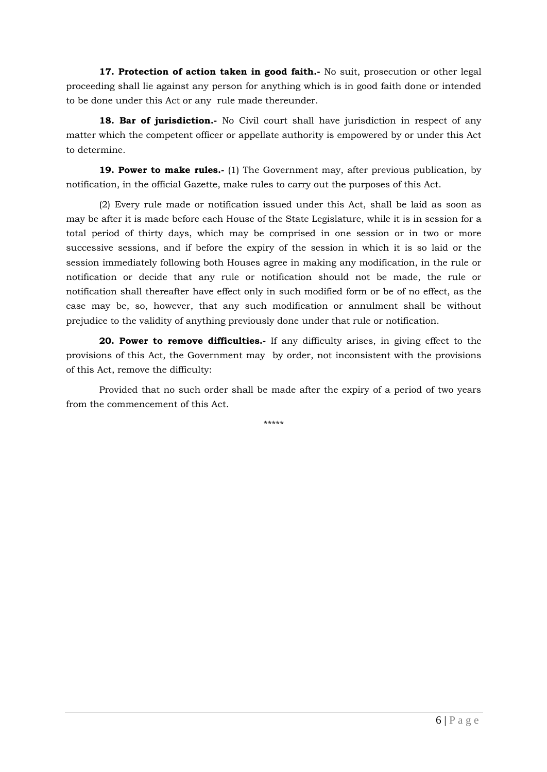**17. Protection of action taken in good faith.-** No suit, prosecution or other legal proceeding shall lie against any person for anything which is in good faith done or intended to be done under this Act or any rule made thereunder.

**18. Bar of jurisdiction.**- No Civil court shall have jurisdiction in respect of any matter which the competent officer or appellate authority is empowered by or under this Act to determine.

**19. Power to make rules.-** (1) The Government may, after previous publication, by notification, in the official Gazette, make rules to carry out the purposes of this Act.

(2) Every rule made or notification issued under this Act, shall be laid as soon as may be after it is made before each House of the State Legislature, while it is in session for a total period of thirty days, which may be comprised in one session or in two or more successive sessions, and if before the expiry of the session in which it is so laid or the session immediately following both Houses agree in making any modification, in the rule or notification or decide that any rule or notification should not be made, the rule or notification shall thereafter have effect only in such modified form or be of no effect, as the case may be, so, however, that any such modification or annulment shall be without prejudice to the validity of anything previously done under that rule or notification.

**20. Power to remove difficulties.-** If any difficulty arises, in giving effect to the provisions of this Act, the Government may by order, not inconsistent with the provisions of this Act, remove the difficulty:

Provided that no such order shall be made after the expiry of a period of two years from the commencement of this Act.

\*\*\*\*\*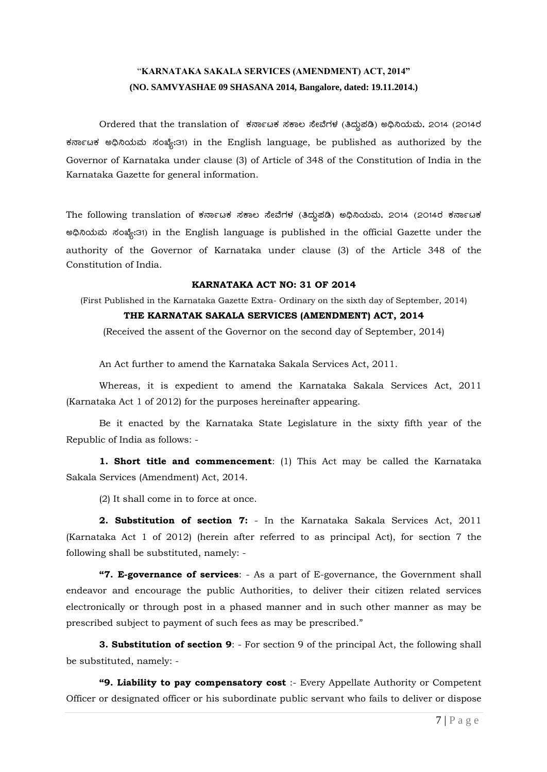# "**KARNATAKA SAKALA SERVICES (AMENDMENT) ACT, 2014" (NO. SAMVYASHAE 09 SHASANA 2014, Bangalore, dated: 19.11.2014.)**

Ordered that the translation of ಕರ್ನಾಟಕ ಸಕಾಲ ಸೇವೆಗಳ (ತಿದ್ದುಪಡಿ) ಅಧಿನಿಯಮ, 2014 (2014ರ ಕರ್ನಾಟಕ ಅಧಿನಿಯಮ ಸಂಖ್ಯೆ:31) in the English language, be published as authorized by the Governor of Karnataka under clause (3) of Article of 348 of the Constitution of India in the Karnataka Gazette for general information.

The following translation of ಕರ್ನಾಟಕ ಸಕಾಲ ಸೇವೆಗಳ (ತಿದ್ದುಪಡಿ) ಅಧಿನಿಯಮ, 2014 (2014ರ ಕರ್ನಾಟಕ eඛ්බයා , තන්ද:31) in the English language is published in the official Gazette under the authority of the Governor of Karnataka under clause (3) of the Article 348 of the Constitution of India.

### **KARNATAKA ACT NO: 31 OF 2014**

(First Published in the Karnataka Gazette Extra- Ordinary on the sixth day of September, 2014)

## **THE KARNATAK SAKALA SERVICES (AMENDMENT) ACT, 2014**

(Received the assent of the Governor on the second day of September, 2014)

An Act further to amend the Karnataka Sakala Services Act, 2011.

Whereas, it is expedient to amend the Karnataka Sakala Services Act, 2011 (Karnataka Act 1 of 2012) for the purposes hereinafter appearing.

Be it enacted by the Karnataka State Legislature in the sixty fifth year of the Republic of India as follows: -

**1. Short title and commencement**: (1) This Act may be called the Karnataka Sakala Services (Amendment) Act, 2014.

(2) It shall come in to force at once.

**2. Substitution of section 7:** - In the Karnataka Sakala Services Act, 2011 (Karnataka Act 1 of 2012) (herein after referred to as principal Act), for section 7 the following shall be substituted, namely: -

**"7. E-governance of services**: - As a part of E-governance, the Government shall endeavor and encourage the public Authorities, to deliver their citizen related services electronically or through post in a phased manner and in such other manner as may be prescribed subject to payment of such fees as may be prescribed."

**3. Substitution of section 9**: - For section 9 of the principal Act, the following shall be substituted, namely: -

**"9. Liability to pay compensatory cost** :- Every Appellate Authority or Competent Officer or designated officer or his subordinate public servant who fails to deliver or dispose